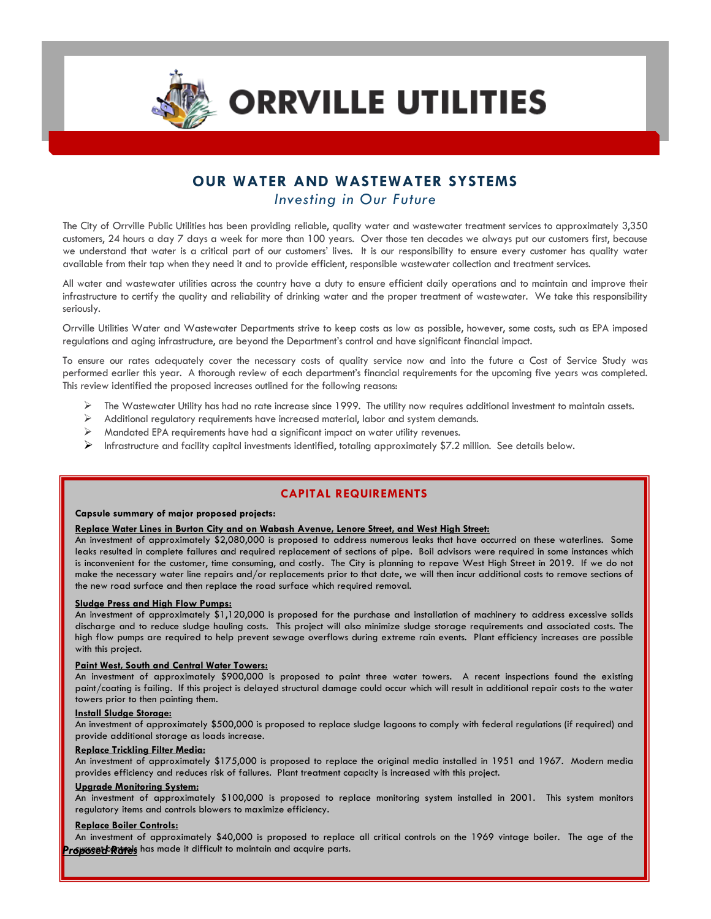

ł

**ORRVILLE UTILITIES** 

# **OUR WATER AND WASTEWATER SYSTEMS** *Investing in Our Future*

The City of Orrville Public Utilities has been providing reliable, quality water and wastewater treatment services to approximately 3,350 customers, 24 hours a day 7 days a week for more than 100 years. Over those ten decades we always put our customers first, because we understand that water is a critical part of our customers' lives. It is our responsibility to ensure every customer has quality water available from their tap when they need it and to provide efficient, responsible wastewater collection and treatment services.

All water and wastewater utilities across the country have a duty to ensure efficient daily operations and to maintain and improve their infrastructure to certify the quality and reliability of drinking water and the proper treatment of wastewater. We take this responsibility seriously.

Orrville Utilities Water and Wastewater Departments strive to keep costs as low as possible, however, some costs, such as EPA imposed regulations and aging infrastructure, are beyond the Department's control and have significant financial impact.

To ensure our rates adequately cover the necessary costs of quality service now and into the future a Cost of Service Study was performed earlier this year. A thorough review of each department's financial requirements for the upcoming five years was completed. This review identified the proposed increases outlined for the following reasons:

- The Wastewater Utility has had no rate increase since 1999. The utility now requires additional investment to maintain assets.
- $\triangleright$  Additional regulatory requirements have increased material, labor and system demands.
- Mandated EPA requirements have had a significant impact on water utility revenues.
- Infrastructure and facility capital investments identified, totaling approximately \$7.2 million. See details below.

## **CAPITAL REQUIREMENTS**

## **Capsule summary of major proposed projects:**

## **Replace Water Lines in Burton City and on Wabash Avenue, Lenore Street, and West High Street:**

An investment of approximately \$2,080,000 is proposed to address numerous leaks that have occurred on these waterlines. Some leaks resulted in complete failures and required replacement of sections of pipe. Boil advisors were required in some instances which is inconvenient for the customer, time consuming, and costly. The City is planning to repave West High Street in 2019. If we do not make the necessary water line repairs and/or replacements prior to that date, we will then incur additional costs to remove sections of the new road surface and then replace the road surface which required removal.

#### **Sludge Press and High Flow Pumps:**

An investment of approximately \$1,120,000 is proposed for the purchase and installation of machinery to address excessive solids discharge and to reduce sludge hauling costs. This project will also minimize sludge storage requirements and associated costs. The high flow pumps are required to help prevent sewage overflows during extreme rain events. Plant efficiency increases are possible with this project.

#### **Paint West, South and Central Water Towers:**

An investment of approximately \$900,000 is proposed to paint three water towers. A recent inspections found the existing paint/coating is failing. If this project is delayed structural damage could occur which will result in additional repair costs to the water towers prior to then painting them.

## **Install Sludge Storage:**

An investment of approximately \$500,000 is proposed to replace sludge lagoons to comply with federal regulations (if required) and provide additional storage as loads increase.

### **Replace Trickling Filter Media:**

An investment of approximately \$175,000 is proposed to replace the original media installed in 1951 and 1967. Modern media provides efficiency and reduces risk of failures. Plant treatment capacity is increased with this project.

#### **Upgrade Monitoring System:**

An investment of approximately \$100,000 is proposed to replace monitoring system installed in 2001. This system monitors regulatory items and controls blowers to maximize efficiency.

#### **Replace Boiler Controls:**

An investment of approximately \$40,000 is proposed to replace all critical controls on the 1969 vintage boiler. The age of the **Proposet Rimes** has made it difficult to maintain and acquire parts.